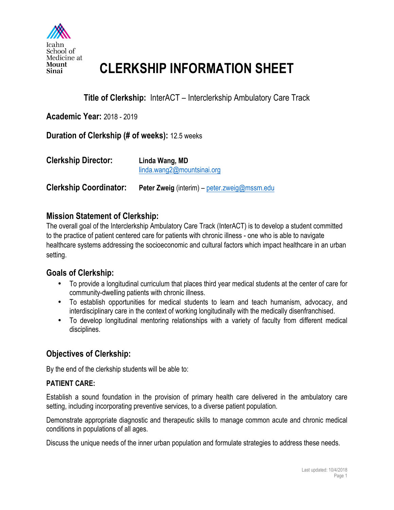

## **CLERKSHIP INFORMATION SHEET**

## **Title of Clerkship:** InterACT – Interclerkship Ambulatory Care Track

**Academic Year:** 2018 - 2019

### **Duration of Clerkship (# of weeks):** 12.5 weeks

| <b>Clerkship Director:</b>    | Linda Wang, MD<br>linda.wang2@mountsinai.org |
|-------------------------------|----------------------------------------------|
| <b>Clerkship Coordinator:</b> | Peter Zweig (interim) - peter.zweig@mssm.edu |

## **Mission Statement of Clerkship:**

The overall goal of the Interclerkship Ambulatory Care Track (InterACT) is to develop a student committed to the practice of patient centered care for patients with chronic illness - one who is able to navigate healthcare systems addressing the socioeconomic and cultural factors which impact healthcare in an urban setting.

## **Goals of Clerkship:**

- To provide a longitudinal curriculum that places third year medical students at the center of care for community-dwelling patients with chronic illness.
- To establish opportunities for medical students to learn and teach humanism, advocacy, and interdisciplinary care in the context of working longitudinally with the medically disenfranchised.
- To develop longitudinal mentoring relationships with a variety of faculty from different medical disciplines.

## **Objectives of Clerkship:**

By the end of the clerkship students will be able to:

### **PATIENT CARE:**

Establish a sound foundation in the provision of primary health care delivered in the ambulatory care setting, including incorporating preventive services, to a diverse patient population.

Demonstrate appropriate diagnostic and therapeutic skills to manage common acute and chronic medical conditions in populations of all ages.

Discuss the unique needs of the inner urban population and formulate strategies to address these needs.